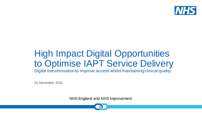

# High Impact Digital Opportunities to Optimise IAPT Service Delivery

Digital transformation to improve access whilst maintaining clinical quality

15 December 2021

NHS England and NHS Improvement

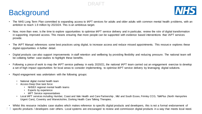# **Background**



- The NHS Long Term Plan committed to expanding access to IAPT services for adults and older adults with common mental health problems, with an ambition to reach 1.9 million by 2023/24. This is an ambitious target.
- Now, more than ever, is the time to explore opportunities to optimise IAPT service delivery and in particular, review the role of digital transformation in supporting improved access. This means ensuring that more people can be supported with evidence based interventions that IAPT services provide.
- The IAPT Manual references some best practices using digital, to increase access and reduce missed appointments. This resource explores these digital opportunities in further detail.
- Digital products can also support improvements in staff retention and wellbeing by providing flexibility and reducing pressure. The national team will be collating further case studies to highlight these benefits.
- Following a piece of work to map the IAPT service pathway in early 2020/21, the national IAPT team carried out an engagement exercise to develop a set of high impact opportunities for local areas to consider implementing, to optimise IAPT service delivery by leveraging digital solutions.
- Rapid engagement was undertaken with the following groups:
	- National digital mental health team
	- Access Deep Dive task force:
		- NHSE/I regional mental health teams
		- **Experts by experience**
		- IAPT Service representatives
	- Local IAPT services including Humber, Coast and Vale Health and Care Partnership , Mid and South Essex, Frimley CCG, TalkPlus (North Hampshire Urgent Care), Coventry and Warwickshire, Dorking Health Care Talking Therapies.
- Whilst this resource includes case studies which makes reference to specific digital products and developers, this is not a formal endorsement of
- $\mathfrak{2}$ specific products / developers over others. Local systems are encouraged to review and commission digital products in a way that meets local need.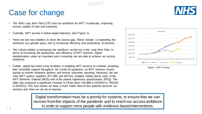# Case for change

- The NHS Long Term Plan (LTP) sets out ambitions for IAPT in particular, improving access, quality of care and outcomes.
- Currently, IAPT access is below target trajectory (see Figure 1).
- There are two key enablers to close the access gap. These include: 1) expanding the workforce at a greater pace, and 2) increasing efficiency and productivity of services.
- The critical enabler is increasing the workforce as laid out in the Long Term Plan. In terms of increasing the productivity and efficiency of IAPT services, digital transformation plays an important part in ensuring we are able to achieve our access ambitions.
- Further, digital has been a key facilitator in enabling IAPT services to continue providing their incredible support throughout the Covid-19 pandemic; as IAPT services moved quickly to remote treatment delivery and remote outcomes reporting. Moreover, the two main IAPT system suppliers (PC-MIS and IAPTus) enabled mobile phone entry of the IAPT Minimum Dataset (MDS) and of the patient experience questionnaire (PEQ). The latter has produced a significant increase in PEQs (from 130,988 in 2019/20 to 799,943 in 2020/21). This now means we have a much better idea of how patients perceive our services and what we can do to improve.



Figure 1: IAPT Access

Digital transformation must be a priority for systems, to ensure that we can recover from the impacts of the pandemic and to reach our access ambitions in order to support more people with evidence-based interventions.

DRAFT

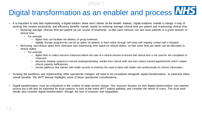# Digital transformation as an enabler and process WHS

- It is important to note that implementing a digital solution alone won't deliver all the benefit. Instead, digital solutions enable a change in way of working that creates productivity and efficiency benefits overall; mainly by reducing average clinical time per patient and maximising clinical time.
	- Reducing average clinician time per patient (or per course of treatment), so that each clinician can see more patients in a given amount of clinical time.
		- For example:
			- digital tools can facilitate the delivery of group treatment.
			- digitally therapy programmes can be an option for patients to learn online through self-study with ongoing contact with a therapist.
	- Removing non-clinical tasks from clinicians and maximising time spent on clinical duties, so that more time per week can be allocated to clinical duties.
		- For example:
			- digital tools to collect outcome measures before the start of a clinical session to ensure that clinical time is not used for the completion of measures.
			- electronic booking systems to remove booking/rebooking burden from clinical staff, and also reduce missed appointments which creates clinical capacity inefficiencies.
			- remote platforms that interact with health records to minimise the need to liaise with health care professionals for historic information.
- Growing the workforce and implementing other operational changes will need to be considered alongside digital transformation, to maximise these overall benefits. The IAPT Manual highlights some of these operational considerations.
- Digital transformation must be considered in the context of wider service design. This resource focuses on how digital transformation can improve access but it will also be important for local systems to look at the entire IAPT patient pathway and consider the needs of users. This local work should also consider digital transformation through the lens of inclusion and inequalities.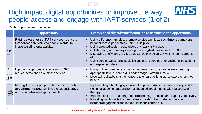**NHS** 

# High impact digital opportunities to improve the way people access and engage with IAPT services (1 of 2)

Digital opportunities to consider:

|                                    | <b>Opportunity</b>                                                                                                                          | Examples of digital transformation to maximise the opportunity                                                                                                                                                                                                                                                                                                                                                                                                                                              |
|------------------------------------|---------------------------------------------------------------------------------------------------------------------------------------------|-------------------------------------------------------------------------------------------------------------------------------------------------------------------------------------------------------------------------------------------------------------------------------------------------------------------------------------------------------------------------------------------------------------------------------------------------------------------------------------------------------------|
| $\mathbf{1}$<br><● }>              | Raising <b>awareness</b> of IAPT services, to ensure<br>that services are visible to people in order to<br>increase self-referral activity. | Using different channels to promote service e.g., local social media campaigns,<br>$\bullet$<br>national campaigns such as Help Us Help you.<br>Using targeted social media advertising e.g. via Facebook.<br>$\bullet$<br>Collaborating with primary care e.g., sending text messages from GPs.<br>Displaying brief videos or clips that can be played on GP waiting room screens,<br>etc.<br>Using service websites to socialise patients to service offer and set expectations<br>e.g. explainer videos. |
| 2<br>$A \subseteq \mathbf{A}$<br>A | Improving appropriate referrals into IAPT, to<br>reduce inefficiencies within the service.                                                  | Using online screening and triage platforms to ensure people are accessing<br>$\bullet$<br>appropriate level of care e.g., London triage platform, Limbic.<br>Leveraging chat bots at the front end to ensure patients get answers when they<br>$\bullet$<br>need it.                                                                                                                                                                                                                                       |
| $\mathbf{3}$                       | Making it easy for people to <b>book and rebook</b><br>appointments, to streamline the patient journey<br>and reduced missed appointments.  | Implementing a booking system to allow patients to self-service where possible<br>(for initial appointments and for rescheduled appointments within a course of<br>therapy).<br>Implementing an e-rostering platform to manage demand and capacity effectively.<br>Providing functionality to allow patients to select their preferred therapist to<br>increase engagement and reduce likelihood of drop out.                                                                                               |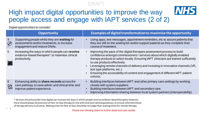**NHS** 

# High impact digital opportunities to improve the way people access and engage with IAPT services (2 of 2)

Digital opportunities to consider:

|                                                                   | <b>Opportunity</b>                                                                                                                       | Examples of digital transformation to maximise the opportunity                                                                                                                                                                                                                                                                                                                                                                                                                                 |
|-------------------------------------------------------------------|------------------------------------------------------------------------------------------------------------------------------------------|------------------------------------------------------------------------------------------------------------------------------------------------------------------------------------------------------------------------------------------------------------------------------------------------------------------------------------------------------------------------------------------------------------------------------------------------------------------------------------------------|
| $\overline{4}$<br>$\bigoplus$                                     | Supporting people whilst they are waiting for<br>assessments and/or treatments, to increase<br>engagement and reduce DNAs.               | Using apps, text messages, appointment reminders, etc to assure patients that<br>they are still on the waiting list and/or support patients as they complete their<br>course of treatment.                                                                                                                                                                                                                                                                                                     |
| 5<br>$\bullet$ $\bullet$<br>$\boxed{\mathbb{R}^{-}_{\mathbb{A}}}$ | Increasing the ways in which people can receive<br>evidence-based therapies*, to maximise clinical<br>productivity.                      | Improving the pace of the digital therapies assessment process to build<br>confidence amongst commissioners / services about which digitally enabled<br>therapy products to select locally. Ensuring IAPT clinicians are trained sufficiently<br>to use products effectively.<br>Leveraging remote channels of delivery and investing in innovative channels (VR,<br>text type platforms, etc.).<br>Ensuring the accessibility of content and engagement of different IAPT patient<br>cohorts. |
| 6<br>$D_1$                                                        | Enhancing ability to <b>share records</b> across the<br>care pathway, to save admin and clinical time and<br>improve patient experience. | Building interfaces between IAPT and other primary care settings by working<br>closely with system suppliers.<br>Building interfaces between IAPT and secondary care.<br>Improving information sharing between local system partners (interoperability).                                                                                                                                                                                                                                       |

\* Services should consider how digital can increase the ways in which people receive evidence-based therapies; however, there should always be provision of face-to-face therapy (in line with local and national guidance), to ensure informed choice of therapy delivery in all areas. Waiting times for face to face should be no longer than waiting times for remote therapy.

Please see following slides for further detail and case studies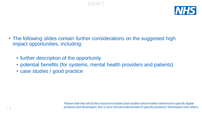

• The following slides contain further considerations on the suggested high impact opportunities, including:

DRAFT

- further description of the opportunity
- potential benefits (for systems, mental health providers and patients)
- case studies / good practice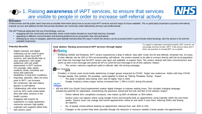



### 1. Raising **awareness** of IAPT services, to ensure that services are visible to people in order to increase self-referral activity Created by Luis Pra

### **Description**

Professionals and the public need clear and accessible information about how to access local IAPT services and the range of choice available. This is particularly important to promote self-referral, improve access and address the fact that anxiety disorders are commonly under-detected by primary care professionals.

The IAPT Manual advocates the use of technology, such as:

- engaging with the community and voluntary sector social media networks to reach high volumes of people
- appealing to different communication and learning preferences by using video clips and animations
- developing an easy to navigate, patient-focused website that describes the ways in which the service can be accessed (which could include online booking), who the service is for and the available treatments.

### **Potential Benefits**

- Digital channels and digital marketing can be used to raise awareness about local IAPT services, and specifically help to raise awareness with target audiences who are under represented in IAPT services. For example, older adults, students, ethnic minorities and those with particular disabilities or long term conditions.
- Improving websites, often the entry point to IAPT, can increase the conversion rate and reduce barriers to self-referral.
- Collaborating with other services such as GPs could create better links with other services in the health system.
- 8 | • Engaging with experts by experience to create awareness resources ensures high quality materials and supports better links with service users.

**Case studies: Raising awareness of IAPT services through digital**

### wellbeing

*To support a nationally consistent brand for IAPT services, we encourage services to have 'IAPT' in the service name and if that's not possible, to include IAPT as a subtitle.*

- Wellbeing Norfolk and Waveney IAPT service experienced a drop in referral rates after Covid first hit and referrals remained low. As many of their referrals are via GPs or GPs recommending self-referral, the service wanted to be able to connect directly with the local population and share the message that the IAPT service was open and available to support them. The service worked with their commissioners and came up with a text message and asked all GPs to send the text message to all of their patients. Impact:
	- The service noticed a significant spike in referrals after the texting campaign.

### VALRING THERAPIES

- Providers in Surrey used social media advertising to target groups impacted by COVID. Target new audiences: Adults with long COVID, Younger people, Key workers. Six providers came together to brand as 'Talking Therapies Surrey'. Impact:
	- The peak in website visits during 2021 was 6x higher than in 2020.
- Google Analytics shows unique visitors increased from 1,789 to 14,621 during this period.

### withyou

- We Are With You (South East) implemented several digital changes to improve waiting times. This included changing language, introducing webchat for registration, streamlining the questions asked and the look and feel of the website. Impact:
	- Online referral form completion increased, now makes up 80% of referrals vs 50% before.
	- Service users can register online using Google Forms and instantly book an appointment using Calendly within the next three weeks. Service users can change and cancel appointments online as and when it suits them, reducing DNAs and freeing up capacity.
	- No. of people closed without booking an appointment reduced from over 40% to 10%.
	- Changes to the system have been possible through the reduction in resource needed to book people into appointments.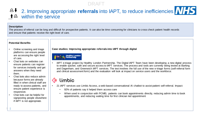# <sup>2</sup> 2. Improving appropriate **referrals** into IAPT, to reduce inefficiencies  $N/75$ within the service

### **Description**

The process of referral can be long and difficult for prospective patients. It can also be time consuming for clinicians to cross check patient health records and ensure that patients receive the right level of care.

### **Potential Benefits**

- Online screening and triage platforms can ensure people are accessing the right level of care.
- Chat bots on websites can ensure patients can register for services instantly and get answers when they need them.
- Chat bots also reduce admin because forms are already filled in when clinical staff are ready to assess patients, and ensure patient experience is responsive.
- Chat bots can be helpful for signposting people elsewhere if IAPT is not appropriate.

9 |

**Case studies: Improving appropriate referrals into IAPT through digital** 



• IAPT e-triage project by Healthy London Partnership. The Digital IAPT Team have been developing a new digital process to enable quicker, safe and secure access to IAPT services. The process and tools are currently being tested at Barking and Dagenham, and Greenwich IAPT services. The test involves the full use of the new e-triage forms (self-referral form and clinical assessment form) and the evaluation will look at impact on service users and the workforce.

# limbic

- 21 IAPT services use Limbic Access, a web-based conversational AI chatbot to assist patient self-referral. Impact:
	- 92% of patients say it helped them access care
	- When used in conjunction with PCMIS, patients can book appointments directly, reducing admin time to book appointments, and reducing waiting time for first clinician led appointment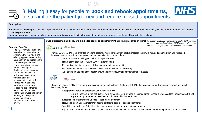

# 3. Making it easy for people to **book and rebook appointments,**  to streamline the patient journey and reduce missed appointments



### **Description**

In many cases, booking and rebooking appointments take up excessive admin and clinical time. Since systems are not planned around patient choice, patients may not reschedule or do not come to appointments.

Commissioning main system suppliers to implement a booking system to allow patients to self-service where possible could help with this challenge.

#### **Potential Benefits**

- The IAPT Manual states that an online choose-and-book system, SMS reminders and offering appointments flexibly have been linked to reductions in missed appointments.
- Fewer missed appointments reduces waiting times.
- Digital methods allow more interaction with patients with less resource required from clinical staff.
- Allowing patients to selfservice where possible reduces admin burden of booking appointments, particularly phone calls / phone tag between the person booking and the patient, avoids last minute cancellations and reduces DNAs.

 $10<sup>-1</sup>$ 



Case studies: Making it easy and simple for people to book their IAPT appointments through digital To support a nationally consistent brand for IAPT services, *we encourage services to have 'IAPT' in the service name and if that's not possible, to include IAPT as a subtitle.*



- Frimley CCG's TalkPlus implemented an online booking system from Mayden (iaptus) that reduced DNAs, reduced admin burden and increased the conversion rate of referrals to people booking into Initial Assessments. Impact:
	- Saved admin time calling people back for appointments
	- Higher conversion rate 78% vs 71% for other booking
	- Reduced waiting time average 4 days vs 10 days for other booking
	- Reduced appointments cancelled by patient- 6% vs 10% for other booking
	- Able to use data to plan staff capacity around the most popular appointment times requested

#### **NHS Oxford Health Healthy Minds Bucks** mshire IAPT service

sether to improve wellbeing

- **PAPCMIS**
- Choose and Book, a PCMIS product, was implemented by Healthy Minds Bucks in July 2021. The service is currently measuring impact and results. Preliminary impact:
	- Acceptability: Very high percentage use 'Choose & Book'
		- 73% of all referrals in the last quarter were eReferrals, 93% of these eReferrals opted to make a Choose & Book appointment, 53% of people entering treatment booked their appointment with Choose & Book
	- Effectiveness: Majority using Choose & Book 'enter' treatment
	- Reduced burden: Less work for IAPT teams contacting people to book appointments
	- Suitability: No evidence of significant increase of inappropriate referrals entering treatment
	- Equity: Some evidence that an online booking system might increase proportion of referrals from people with protected characteristics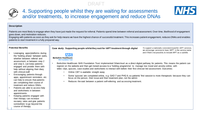

# 4. Supporting people whilst they are waiting for assessments and/or treatments, to increase engagement and reduce DNAs



### **Description**

Patients are most likely to engage when they have just made the request for referral. Patients spend time between referral and assessment. Over time, likelihood of engagement goes down, and motivation reduces.

Engaging with patients as soon as they ask for help means we have the highest chance of successful treatment. This increases patient engagement, reduces DNAs and enables patients to start treatment in a fully prepared way.

### **Potential Benefits**

- Leveraging apps/platforms during the 'holding phase' between waits, whether between referral and assessment, or between step 2 and step 3, can keep patients engaged and provide them with help without aligning their diary with clinical staff.
- Encouraging patients through apps, appointment reminders, etc can help to ensure that patients are completing their course of treatment and reduce DNAs.
- Patients are able to access help and worksheets in between appointments.
- <u>|1 |</u> • Keeping patients engaged with their therapy can increase recovery rates and give patients somewhere to go beyond the course of therapy.

| Case study: Supporting people whilst they wait for IAPT treatment through digital |  |
|-----------------------------------------------------------------------------------|--|
|-----------------------------------------------------------------------------------|--|

*To support a nationally consistent brand for IAPT services, we encourage services to have 'IAPT' in the service name and if that's not possible, to include IAPT as a subtitle.*



#### **Berkshire Healthcare NHS Foundation Trust**

- Berkshire Healthcare NHS Foundation Trust implemented Silvercloud as a direct digital pathway for patients. This means the patient can register on the website and then get instant access to a 'holding programme' to manage low mood and anxiety online, with video clips, quizzes, case studies and worksheets to interact with before their first clinician led assessment. Outcomes:
	- Online CBT is available straight away
	- Some 'quizzes' are completed online, e.g. GAD 7 and PHQ 9, so patients' first session is more therapeutic because they can focus on the person, their issue and their treatment plan, not the admin
	- Reduces the wait between a patient self-referring and accessing treatment.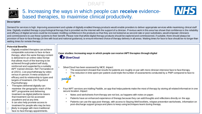

# 5. Increasing the ways in which people can **receive** evidencebased therapies, to maximise clinical productivity.



Demand for services is high. Improving assessment and uptake of digitally enabled therapyproducts would enable providers to deliver appropriate services while maximising clinical staff time. Digitally enabled therapy is psychological therapy that is provided via the internet with the support of a clinician. Previous work in this area has shown that confidence in the reliability and efficacy of digital services could be increased. Instilling confidence in the products so that they are not looked at as second-rate or poor substitutes, would empower clinicians and commissioners to use these systems to their benefit. Please note that whilst digital therapy products should be explored and commissioned, if suitable, there should always be provision of face-to-face therapy (in line with local and national guidance), to ensure informed choice of therapy delivery in all areas. Waiting times for face to face should be no longer than waiting times for remote therapy.

### **Potential Benefits**

- Digitally enabled therapies can achieve comparable outcomes to face-to-face therapy, when the same therapy content is delivered in an online video format that allows much of the learning to be achieved through patient self study, reinforced and supported by a suitably IAPT trained clinician. Ref: Fernandez et al (2021). Live psychotherapy by video versus in-person: A meta-analysis of efficacy and its relationship to types and targets of treatment. *Clin Psychol & Psychotherapy.*
- Therapies delivered digitally can maximise the geographic reach of the IAPT programme and delivering treatment via digital platforms means that treatment can be accessed anywhere and at any time.
- It can also help promote access to treatment for people who may be less
- 12 | likely to engage with more traditional face-to-face therapy appointments.

**Case studies: Increasing ways in which people can receive IAPT therapies through digital**

SilverCloud

- SilverCloud has been assessed by NICE. Impact:
	- The assessment showed that results for patients are roughly on par with more clinician intensive face to face therapy.
	- The reduction in time spent per patient could triple the number of assessments conducted by a PWP compared to face to

**NHS** 

- $\mathbf e$ . paddk
- Four IAPT services are trialling Paddle, an app that helps patients make the most of therapy by storing all related information in one secure location. Impact:
	- Notes and worksheets from therapy are not lost, as happens with notes on paper.
	- Patients have an enhanced experience of therapy because they can add thoughts and reflections directly on the app.
	- Patients can use the app post-therapy, with access to Staying Well booklets, relapse prevention worksheets, information on post-discharge support groups and plans to keep using techniques learnt during therapy.